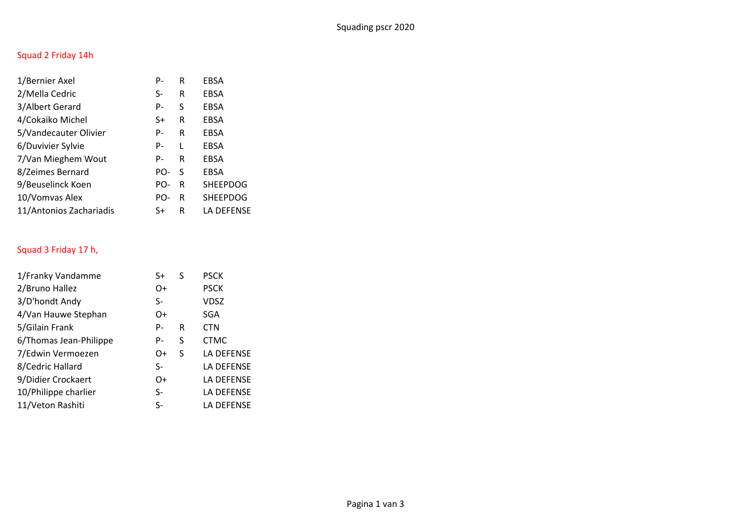# Squad 2 Friday 14h

| 1/Bernier Axel          | P-  | R  | <b>EBSA</b>     |
|-------------------------|-----|----|-----------------|
| 2/Mella Cedric          | S-  | R  | <b>EBSA</b>     |
| 3/Albert Gerard         | P-  | S  | <b>EBSA</b>     |
| 4/Cokaiko Michel        | S+  | R  | <b>EBSA</b>     |
| 5/Vandecauter Olivier   | P-  | R  | EBSA            |
| 6/Duvivier Sylvie       | P-  | L  | EBSA            |
| 7/Van Mieghem Wout      | P-  | R  | <b>EBSA</b>     |
| 8/Zeimes Bernard        | PO- | -S | EBSA            |
| 9/Beuselinck Koen       | PO- | R  | <b>SHEEPDOG</b> |
| 10/Vomvas Alex          | PO- | R  | <b>SHEEPDOG</b> |
| 11/Antonios Zachariadis | S+  | R  | LA DEFENSE      |

# Squad 3 Friday 17 h,

| 1/Franky Vandamme      | S+   | S | <b>PSCK</b> |
|------------------------|------|---|-------------|
| 2/Bruno Hallez         | O+   |   | <b>PSCK</b> |
| 3/D'hondt Andy         | $S-$ |   | VDSZ        |
| 4/Van Hauwe Stephan    | O+   |   | <b>SGA</b>  |
| 5/Gilain Frank         | P-   | R | <b>CTN</b>  |
| 6/Thomas Jean-Philippe | P-   | S | <b>CTMC</b> |
| 7/Edwin Vermoezen      | O+   | S | LA DEFENSE  |
| 8/Cedric Hallard       | $S-$ |   | LA DEFENSE  |
| 9/Didier Crockaert     | O+   |   | LA DEFENSE  |
| 10/Philippe charlier   | $S-$ |   | LA DEFENSE  |
| 11/Veton Rashiti       | $S-$ |   | LA DEFENSE  |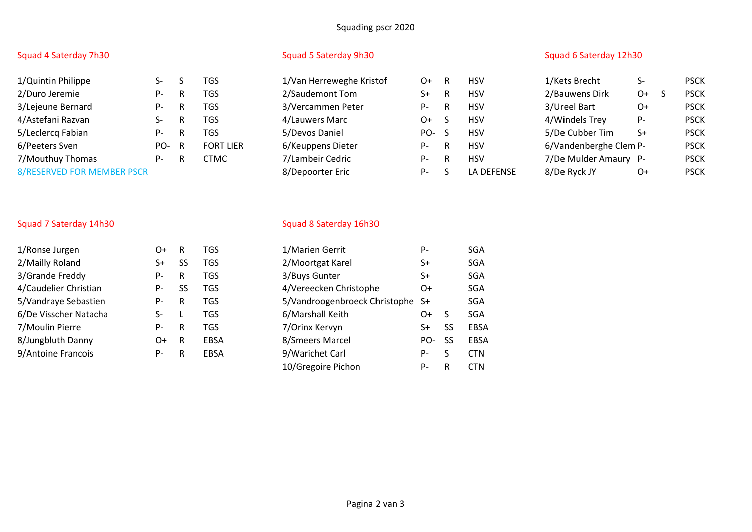## Squading pscr 2020

| 1/Quintin Philippe                | Տ-  | S | TGS             |
|-----------------------------------|-----|---|-----------------|
| 2/Duro Jeremie                    | P-  | R | TGS             |
| 3/Lejeune Bernard                 | P-  | R | TGS             |
| 4/Astefani Razvan                 | S-  | R | TGS             |
| 5/Leclercq Fabian                 | P-  | R | TGS             |
| 6/Peeters Sven                    | PO- | R | <b>FORT LIE</b> |
| 7/Mouthuy Thomas                  | P-  | R | <b>CTMC</b>     |
| <b>8/RESERVED FOR MEMBER PSCR</b> |     |   |                 |

| 1/Quintin Philippe                |      |     | TGS              | 1/Van Herreweghe Kristof | O+   | - R | <b>HSV</b> | 1/Kets Brecht          | S-   | <b>PSCK</b> |
|-----------------------------------|------|-----|------------------|--------------------------|------|-----|------------|------------------------|------|-------------|
| 2/Duro Jeremie                    | Р-   | -R  | <b>TGS</b>       | 2/Saudemont Tom          | S+   | R   | <b>HSV</b> | 2/Bauwens Dirk         | O+   | <b>PSCK</b> |
| 3/Lejeune Bernard                 | Р-   | R.  | <b>TGS</b>       | 3/Vercammen Peter        | P-   | R   | <b>HSV</b> | 3/Ureel Bart           | 0+   | <b>PSCK</b> |
| 4/Astefani Razvan                 |      | R.  | TGS              | 4/Lauwers Marc           | $O+$ |     | <b>HSV</b> | 4/Windels Trey         | $P-$ | <b>PSCK</b> |
| 5/Leclercq Fabian                 | Р-   | - R | <b>TGS</b>       | 5/Devos Daniel           | PO-S |     | <b>HSV</b> | 5/De Cubber Tim        | $S+$ | <b>PSCK</b> |
| 6/Peeters Sven                    | PO-R |     | <b>FORT LIER</b> | 6/Keuppens Dieter        | P-   | - R | <b>HSV</b> | 6/Vandenberghe Clem P- |      | <b>PSCK</b> |
| 7/Mouthuy Thomas                  | Р-   | R   | CTMC             | 7/Lambeir Cedric         | P-   | R   | <b>HSV</b> | 7/De Mulder Amaury P-  |      | <b>PSCK</b> |
| <b>8/RESERVED FOR MEMBER PSCR</b> |      |     |                  | 8/Depoorter Eric         | P-   |     | LA DEFENSE | 8/De Ryck JY           | O+   | <b>PSCK</b> |
|                                   |      |     |                  |                          |      |     |            |                        |      |             |

## Squad 4 Saterday 7h30 Squad 5 Saterday 9h30 Squad 5 Saterday 9h30 Squad 6 Saterday 12h30

| 1/Kets Brecht          | S- |   | <b>PSCK</b> |
|------------------------|----|---|-------------|
| 2/Bauwens Dirk         | O+ | S | <b>PSCK</b> |
| 3/Ureel Bart           | O+ |   | <b>PSCK</b> |
| 4/Windels Trey         | Р- |   | <b>PSCK</b> |
| 5/De Cubber Tim        | S+ |   | <b>PSCK</b> |
| 6/Vandenberghe Clem P- |    |   | <b>PSCK</b> |
| 7/De Mulder Amaury     | P- |   | <b>PSCK</b> |
| 8/De Ryck JY           | )+ |   | PSCK        |

| 1/Ronse Jurgen        | O+   | R         | TGS.        | 1/Marien Gerrit                  | P-  |           | <b>SGA</b> |
|-----------------------|------|-----------|-------------|----------------------------------|-----|-----------|------------|
| 2/Mailly Roland       | S+   | <b>SS</b> | TGS.        | 2/Moortgat Karel                 | S+  |           | <b>SGA</b> |
| 3/Grande Freddy       | P-   | R         | <b>TGS</b>  | 3/Buys Gunter                    | S+  |           | <b>SGA</b> |
| 4/Caudelier Christian | P-   | SS        | TGS.        | 4/Vereecken Christophe           | 0+  |           | <b>SGA</b> |
| 5/Vandraye Sebastien  | P-   | R         | <b>TGS</b>  | 5/Vandroogenbroeck Christophe S+ |     |           | <b>SGA</b> |
| 6/De Visscher Natacha | S-   |           | <b>TGS</b>  | 6/Marshall Keith                 | 0+  |           | <b>SGA</b> |
| 7/Moulin Pierre       | P-   | R         | TGS.        | 7/Orinx Kervyn                   | S+  | SS        | EBS.       |
| 8/Jungbluth Danny     | $O+$ | -R        | <b>EBSA</b> | 8/Smeers Marcel                  | PO- | <b>SS</b> | EBS.       |
| 9/Antoine Francois    | P-   | R         | <b>EBSA</b> | 9/Warichet Carl                  | P-  |           | <b>CTN</b> |

## Squad 7 Saterday 14h30 Squad 8 Saterday 16h30

| 1/Ronse Jurgen        | 0+ | R   | <b>TGS</b>  | 1/Marien Gerrit                  | P-    |              | <b>SGA</b> |
|-----------------------|----|-----|-------------|----------------------------------|-------|--------------|------------|
| 2/Mailly Roland       | S+ | SS  | <b>TGS</b>  | 2/Moortgat Karel                 | S+    |              | <b>SGA</b> |
| 3/Grande Freddy       | Р- | R   | <b>TGS</b>  | 3/Buys Gunter                    | S+    |              | <b>SGA</b> |
| 4/Caudelier Christian | P- | SS. | TGS         | 4/Vereecken Christophe           | 0+    |              | SGA        |
| 5/Vandraye Sebastien  | P- | R   | <b>TGS</b>  | 5/Vandroogenbroeck Christophe S+ |       |              | <b>SGA</b> |
| 6/De Visscher Natacha | S- |     | <b>TGS</b>  | 6/Marshall Keith                 | O+    | <sub>S</sub> | <b>SGA</b> |
| 7/Moulin Pierre       | P- | R   | <b>TGS</b>  | 7/Orinx Kervyn                   | S+    | SS           | EBSA       |
| 8/Jungbluth Danny     | 0+ | R   | <b>EBSA</b> | 8/Smeers Marcel                  | PO-   | -SS          | EBSA       |
| 9/Antoine Francois    | P- | R   | <b>EBSA</b> | 9/Warichet Carl                  | P-    | S            | <b>CTN</b> |
|                       |    |     |             | 10/Gregoire Pichon               | $P -$ | R            | <b>CTN</b> |